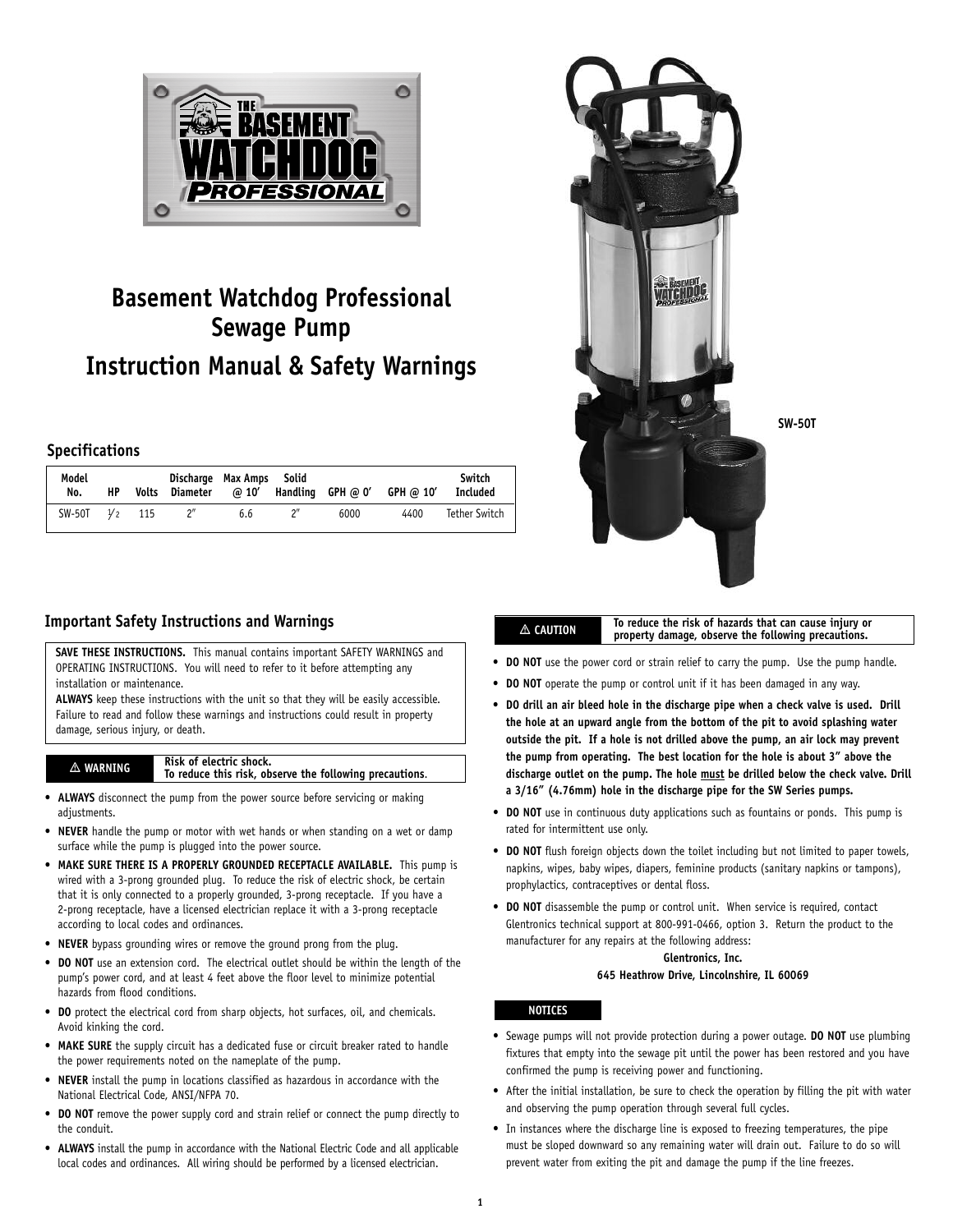

# **Basement Watchdog Professional Sewage Pump Instruction Manual & Safety Warnings**

## **Specifications**

| Model<br>No.       | HP | Volts Diameter | Discharge Max Amps Solid |     |      | @ 10' Handling GPH @ 0' GPH @ 10' | Switch<br>Included |
|--------------------|----|----------------|--------------------------|-----|------|-----------------------------------|--------------------|
| $SW-50T$ $1/2$ 115 |    |                | 6.6                      | ייפ | 6000 | 4400                              | Tether Switch      |

# **Important Safety Instructions and Warnings**

**SAVE THESE INSTRUCTIONS.** This manual contains important SAFETY WARNINGS and OPERATING INSTRUCTIONS. You will need to refer to it before attempting any installation or maintenance.

**ALWAYS** keep these instructions with the unit so that they will be easily accessible. Failure to read and follow these warnings and instructions could result in property damage, serious injury, or death.

#### **WARNING Risk of electric shock. To reduce this risk, observe the following precautions**.

- **ALWAYS** disconnect the pump from the power source before servicing or making adiustments.
- **NEVER** handle the pump or motor with wet hands or when standing on a wet or damp surface while the pump is plugged into the power source.
- **MAKE SURE THERE IS A PROPERLY GROUNDED RECEPTACLE AVAILABLE.** This pump is wired with a 3-prong grounded plug. To reduce the risk of electric shock, be certain that it is only connected to a properly grounded, 3-prong receptacle. If you have a 2-prong receptacle, have a licensed electrician replace it with a 3-prong receptacle according to local codes and ordinances.
- **NEVER** bypass grounding wires or remove the ground prong from the plug.
- **DO NOT** use an extension cord. The electrical outlet should be within the length of the pump's power cord, and at least 4 feet above the floor level to minimize potential hazards from flood conditions.
- **DO** protect the electrical cord from sharp objects, hot surfaces, oil, and chemicals. Avoid kinking the cord.
- **MAKE SURE** the supply circuit has a dedicated fuse or circuit breaker rated to handle the power requirements noted on the nameplate of the pump.
- **NEVER** install the pump in locations classified as hazardous in accordance with the National Electrical Code, ANSI/NFPA 70.
- **DO NOT** remove the power supply cord and strain relief or connect the pump directly to the conduit.
- **ALWAYS** install the pump in accordance with the National Electric Code and all applicable local codes and ordinances. All wiring should be performed by a licensed electrician.



#### **To reduce the risk of hazards that can cause injury or property damage, observe the following precautions.**

- **DO NOT** use the power cord or strain relief to carry the pump. Use the pump handle.
- **DO NOT** operate the pump or control unit if it has been damaged in any way.
- **DO drill an air bleed hole in the discharge pipe when a check valve is used. Drill the hole at an upward angle from the bottom of the pit to avoid splashing water outside the pit. If a hole is not drilled above the pump, an air lock may prevent the pump from operating. The best location for the hole is about 3" above the discharge outlet on the pump. The hole must be drilled below the check valve. Drill a 3/16" (4.76mm) hole in the discharge pipe for the SW Series pumps.**
- **DO NOT** use in continuous duty applications such as fountains or ponds. This pump is rated for intermittent use only.
- **DO NOT** flush foreign objects down the toilet including but not limited to paper towels, napkins, wipes, baby wipes, diapers, feminine products (sanitary napkins or tampons), prophylactics, contraceptives or dental floss.
- **DO NOT** disassemble the pump or control unit. When service is required, contact Glentronics technical support at 800-991-0466, option 3. Return the product to the manufacturer for any repairs at the following address:

## **Glentronics, Inc.**

### **645 Heathrow Drive, Lincolnshire, IL 60069**

## **NOTICES**

**CAUTION**

- Sewage pumps will not provide protection during a power outage. **DO NOT** use plumbing fixtures that empty into the sewage pit until the power has been restored and you have confirmed the pump is receiving power and functioning.
- After the initial installation, be sure to check the operation by filling the pit with water and observing the pump operation through several full cycles.
- In instances where the discharge line is exposed to freezing temperatures, the pipe must be sloped downward so any remaining water will drain out. Failure to do so will prevent water from exiting the pit and damage the pump if the line freezes.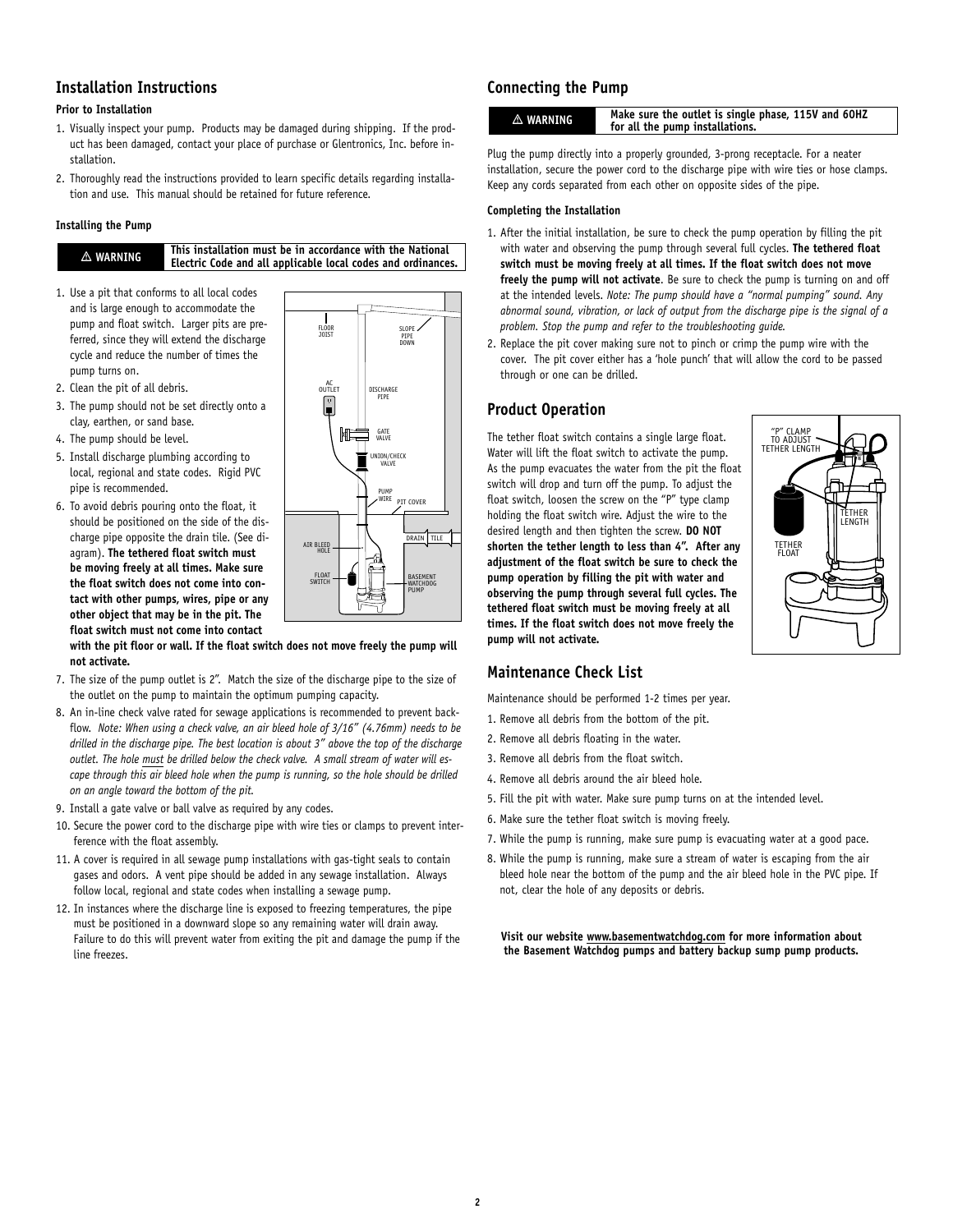## **Installation Instructions**

## **Prior to Installation**

- 1. Visually inspect your pump. Products may be damaged during shipping. If the product has been damaged, contact your place of purchase or Glentronics, Inc. before installation.
- 2. Thoroughly read the instructions provided to learn specific details regarding installation and use. This manual should be retained for future reference.

### **Installing the Pump**

**WARNING**

**This installation must be in accordance with the National Electric Code and all applicable local codes and ordinances.**

- 1. Use a pit that conforms to all local codes and is large enough to accommodate the pump and float switch. Larger pits are preferred, since they will extend the discharge cycle and reduce the number of times the pump turns on.
- 2. Clean the pit of all debris.
- 3. The pump should not be set directly onto a clay, earthen, or sand base.
- 4. The pump should be level.
- 5. Install discharge plumbing according to local, regional and state codes. Rigid PVC pipe is recommended.
- 6. To avoid debris pouring onto the float, it should be positioned on the side of the discharge pipe opposite the drain tile. (See diagram). **The tethered float switch must be moving freely at all times. Make sure the float switch does not come into contact with other pumps, wires, pipe or any other object that may be in the pit. The float switch must not come into contact**



**with the pit floor or wall. If the float switch does not move freely the pump will not activate.**

- 7. The size of the pump outlet is 2". Match the size of the discharge pipe to the size of the outlet on the pump to maintain the optimum pumping capacity.
- 8. An in-line check valve rated for sewage applications is recommended to prevent backflow. *Note: When using a check valve, an air bleed hole of 3/16" (4.76mm) needs to be drilled in the discharge pipe. The best location is about 3" above the top of the discharge outlet. The hole must be drilled below the check valve. A small stream of water will escape through this air bleed hole when the pump is running, so the hole should be drilled on an angle toward the bottom of the pit.*
- 9. Install a gate valve or ball valve as required by any codes.
- 10. Secure the power cord to the discharge pipe with wire ties or clamps to prevent interference with the float assembly.
- 11. A cover is required in all sewage pump installations with gas-tight seals to contain gases and odors. A vent pipe should be added in any sewage installation. Always follow local, regional and state codes when installing a sewage pump.
- 12. In instances where the discharge line is exposed to freezing temperatures, the pipe must be positioned in a downward slope so any remaining water will drain away. Failure to do this will prevent water from exiting the pit and damage the pump if the line freezes.

# **Connecting the Pump**

| A WARNING | Make sure the outlet is single phase, 115V and 60HZ<br>for all the pump installations. |
|-----------|----------------------------------------------------------------------------------------|
|           |                                                                                        |

Plug the pump directly into a properly grounded, 3-prong receptacle. For a neater installation, secure the power cord to the discharge pipe with wire ties or hose clamps. Keep any cords separated from each other on opposite sides of the pipe.

### **Completing the Installation**

- 1. After the initial installation, be sure to check the pump operation by filling the pit with water and observing the pump through several full cycles. **The tethered float switch must be moving freely at all times. If the float switch does not move freely the pump will not activate**. Be sure to check the pump is turning on and off at the intended levels. *Note: The pump should have a "normal pumping" sound. Any abnormal sound, vibration, or lack of output from the discharge pipe is the signal of a problem. Stop the pump and refer to the troubleshooting guide.*
- 2. Replace the pit cover making sure not to pinch or crimp the pump wire with the cover. The pit cover either has a 'hole punch' that will allow the cord to be passed through or one can be drilled.

## **Product Operation**

The tether float switch contains a single large float. Water will lift the float switch to activate the pump. As the pump evacuates the water from the pit the float switch will drop and turn off the pump. To adjust the float switch, loosen the screw on the "P" type clamp holding the float switch wire. Adjust the wire to the desired length and then tighten the screw. **DO NOT shorten the tether length to less than 4". After any adjustment of the float switch be sure to check the pump operation by filling the pit with water and observing the pump through several full cycles. The tethered float switch must be moving freely at all times. If the float switch does not move freely the pump will not activate.**



# **Maintenance Check List**

Maintenance should be performed 1-2 times per year.

- 1. Remove all debris from the bottom of the pit.
- 2. Remove all debris floating in the water.
- 3. Remove all debris from the float switch.
- 4. Remove all debris around the air bleed hole.
- 5. Fill the pit with water. Make sure pump turns on at the intended level.
- 6. Make sure the tether float switch is moving freely.
- 7. While the pump is running, make sure pump is evacuating water at a good pace.
- 8. While the pump is running, make sure a stream of water is escaping from the air bleed hole near the bottom of the pump and the air bleed hole in the PVC pipe. If not, clear the hole of any deposits or debris.

**Visit our website www.basementwatchdog.com for more information about the Basement Watchdog pumps and battery backup sump pump products.**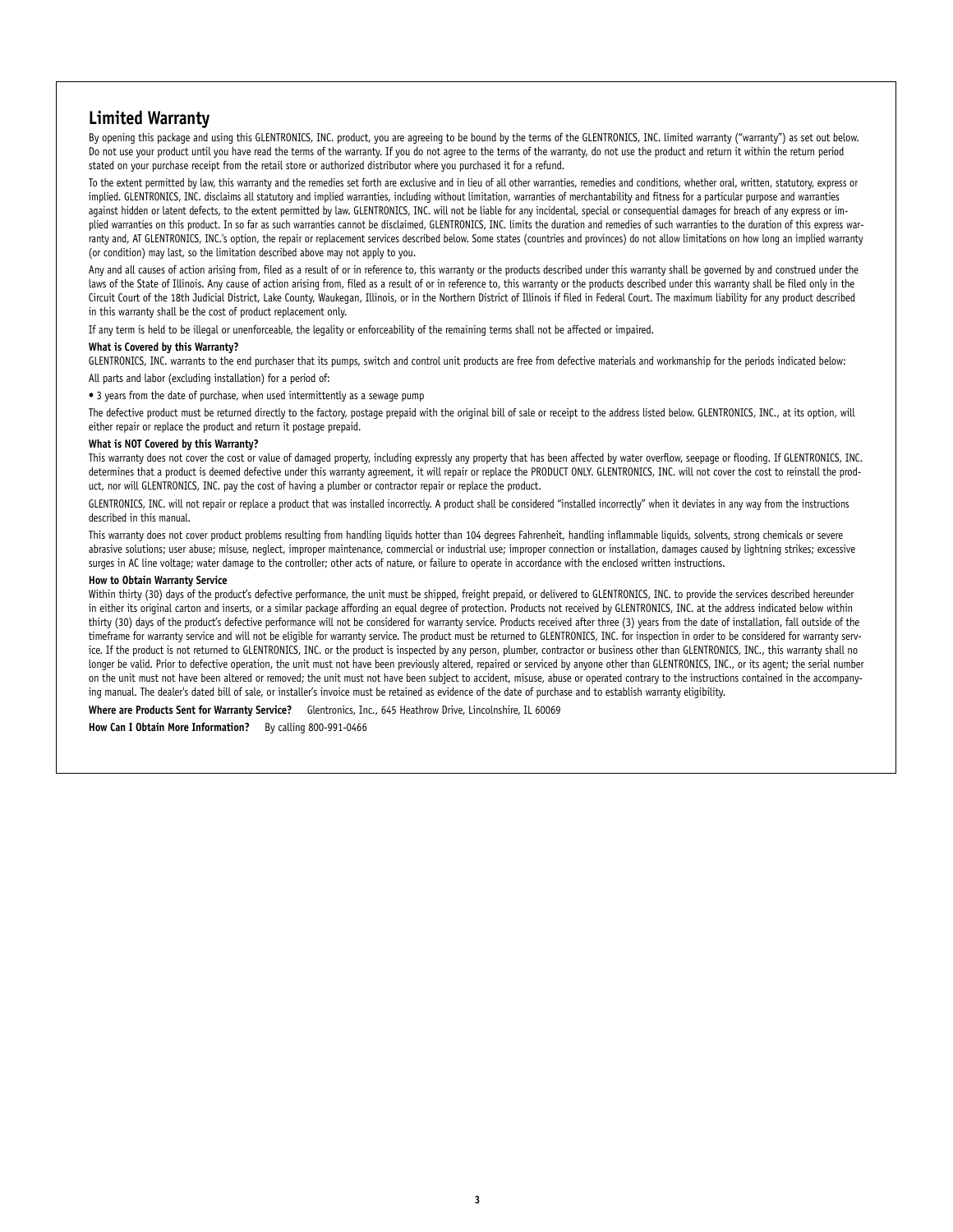## **Limited Warranty**

By opening this package and using this GLENTRONICS, INC. product, you are agreeing to be bound by the terms of the GLENTRONICS, INC. limited warranty ("warranty") as set out below. Do not use your product until you have read the terms of the warranty. If you do not agree to the terms of the warranty, do not use the product and return it within the return period stated on your purchase receipt from the retail store or authorized distributor where you purchased it for a refund.

To the extent permitted by law, this warranty and the remedies set forth are exclusive and in lieu of all other warranties, remedies and conditions, whether oral, written, statutory, express or implied. GLENTRONICS, INC. disclaims all statutory and implied warranties, including without limitation, warranties of merchantability and fitness for a particular purpose and warranties against hidden or latent defects, to the extent permitted by law. GLENTRONICS, INC. will not be liable for any incidental, special or consequential damages for breach of any express or implied warranties on this product. In so far as such warranties cannot be disclaimed, GLENTRONICS, INC. limits the duration and remedies of such warranties to the duration of this express warranty and, AT GLENTRONICS, INC.'s option, the repair or replacement services described below. Some states (countries and provinces) do not allow limitations on how long an implied warranty (or condition) may last, so the limitation described above may not apply to you.

Any and all causes of action arising from, filed as a result of or in reference to, this warranty or the products described under this warranty shall be governed by and construed under the laws of the State of Illinois. Any cause of action arising from, filed as a result of or in reference to, this warranty or the products described under this warranty shall be filed only in the Circuit Court of the 18th Judicial District, Lake County, Waukegan, Illinois, or in the Northern District of Illinois if filed in Federal Court. The maximum liability for any product described in this warranty shall be the cost of product replacement only.

If any term is held to be illegal or unenforceable, the legality or enforceability of the remaining terms shall not be affected or impaired.

#### **What is Covered by this Warranty?**

GLENTRONICS, INC. warrants to the end purchaser that its pumps, switch and control unit products are free from defective materials and workmanship for the periods indicated below: All parts and labor (excluding installation) for a period of:

• 3 years from the date of purchase, when used intermittently as a sewage pump

The defective product must be returned directly to the factory, postage prepaid with the original bill of sale or receipt to the address listed below. GLENTRONICS, INC., at its option, will either repair or replace the product and return it postage prepaid.

#### **What is NOT Covered by this Warranty?**

This warranty does not cover the cost or value of damaged property, including expressly any property that has been affected by water overflow, seepage or flooding. If GLENTRONICS, INC. determines that a product is deemed defective under this warranty agreement, it will repair or replace the PRODUCT ONLY. GLENTRONICS, INC. will not cover the cost to reinstall the product, nor will GLENTRONICS, INC. pay the cost of having a plumber or contractor repair or replace the product.

GLENTRONICS, INC. will not repair or replace a product that was installed incorrectly. A product shall be considered "installed incorrectly" when it deviates in any way from the instructions described in this manual.

This warranty does not cover product problems resulting from handling liquids hotter than 104 degrees Fahrenheit, handling inflammable liquids, solvents, strong chemicals or severe abrasive solutions; user abuse; misuse, neglect, improper maintenance, commercial or industrial use; improper connection or installation, damages caused by lightning strikes; excessive surges in AC line voltage; water damage to the controller; other acts of nature, or failure to operate in accordance with the enclosed written instructions.

#### **How to Obtain Warranty Service**

Within thirty (30) days of the product's defective performance, the unit must be shipped, freight prepaid, or delivered to GLENTRONICS, INC. to provide the services described hereunder in either its original carton and inserts, or a similar package affording an equal degree of protection. Products not received by GLENTRONICS, INC. at the address indicated below within thirty (30) days of the product's defective performance will not be considered for warranty service. Products received after three (3) years from the date of installation, fall outside of the timeframe for warranty service and will not be eligible for warranty service. The product must be returned to GLENTRONICS, INC. for inspection in order to be considered for warranty service. If the product is not returned to GLENTRONICS, INC. or the product is inspected by any person, plumber, contractor or business other than GLENTRONICS, INC., this warranty shall no longer be valid. Prior to defective operation, the unit must not have been previously altered, repaired or serviced by anyone other than GLENTRONICS, INC., or its agent; the serial number on the unit must not have been altered or removed; the unit must not have been subject to accident, misuse, abuse or operated contrary to the instructions contained in the accompanying manual. The dealer's dated bill of sale, or installer's invoice must be retained as evidence of the date of purchase and to establish warranty eligibility.

**Where are Products Sent for Warranty Service?** Glentronics, Inc., 645 Heathrow Drive, Lincolnshire, IL 60069

**How Can I Obtain More Information?** By calling 800-991-0466